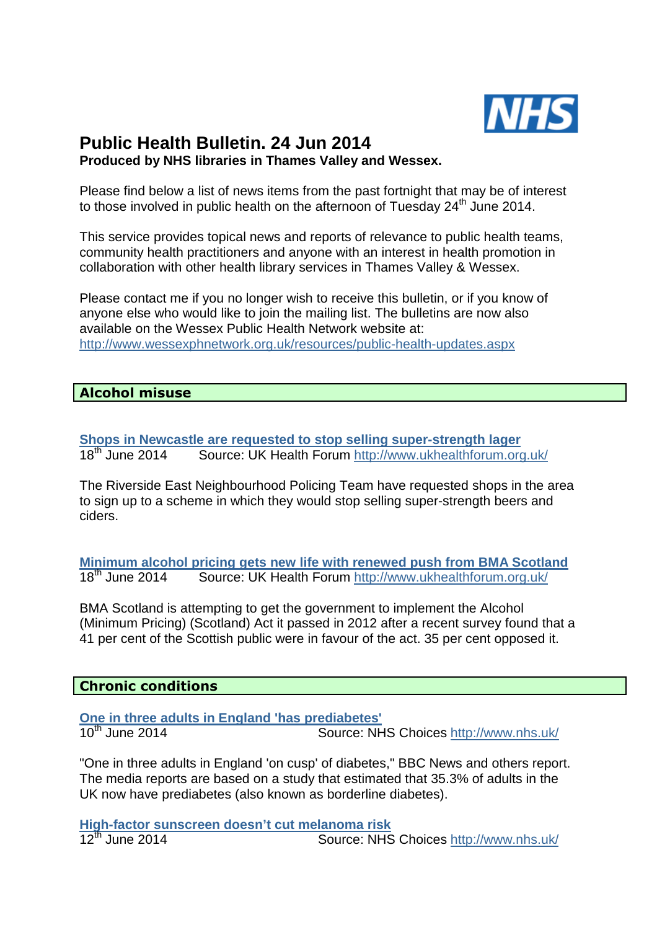

# **Public Health Bulletin. 24 Jun 2014 Produced by NHS libraries in Thames Valley and Wessex.**

Please find below a list of news items from the past fortnight that may be of interest to those involved in public health on the afternoon of Tuesday  $24<sup>th</sup>$  June 2014.

This service provides topical news and reports of relevance to public health teams, community health practitioners and anyone with an interest in health promotion in collaboration with other health library services in Thames Valley & Wessex.

Please contact me if you no longer wish to receive this bulletin, or if you know of anyone else who would like to join the mailing list. The bulletins are now also available on the Wessex Public Health Network website at: http://www.wessexphnetwork.org.uk/resources/public-health-updates.aspx

#### **Alcohol misuse**

**Shops in Newcastle are requested to stop selling super-strength lager<br>18<sup>th</sup> June 2014 <b>Source: UK Health Forum** http://www.ukhealthforum.org Source: UK Health Forum http://www.ukhealthforum.org.uk/

The Riverside East Neighbourhood Policing Team have requested shops in the area to sign up to a scheme in which they would stop selling super-strength beers and ciders.

**Minimum alcohol pricing gets new life with renewed push from BMA Scotland**<br>18<sup>th</sup> June 2014 **Source: UK Health Forum** http://www.ukhealthforum.org.uk/ Source: UK Health Forum http://www.ukhealthforum.org.uk/

BMA Scotland is attempting to get the government to implement the Alcohol (Minimum Pricing) (Scotland) Act it passed in 2012 after a recent survey found that a 41 per cent of the Scottish public were in favour of the act. 35 per cent opposed it.

#### **Chronic conditions**

**One in three adults in England 'has prediabetes'**

Source: NHS Choices http://www.nhs.uk/

"One in three adults in England 'on cusp' of diabetes," BBC News and others report. The media reports are based on a study that estimated that 35.3% of adults in the UK now have prediabetes (also known as borderline diabetes).

**High-factor sunscreen doesn't cut melanoma risk** Source: NHS Choices http://www.nhs.uk/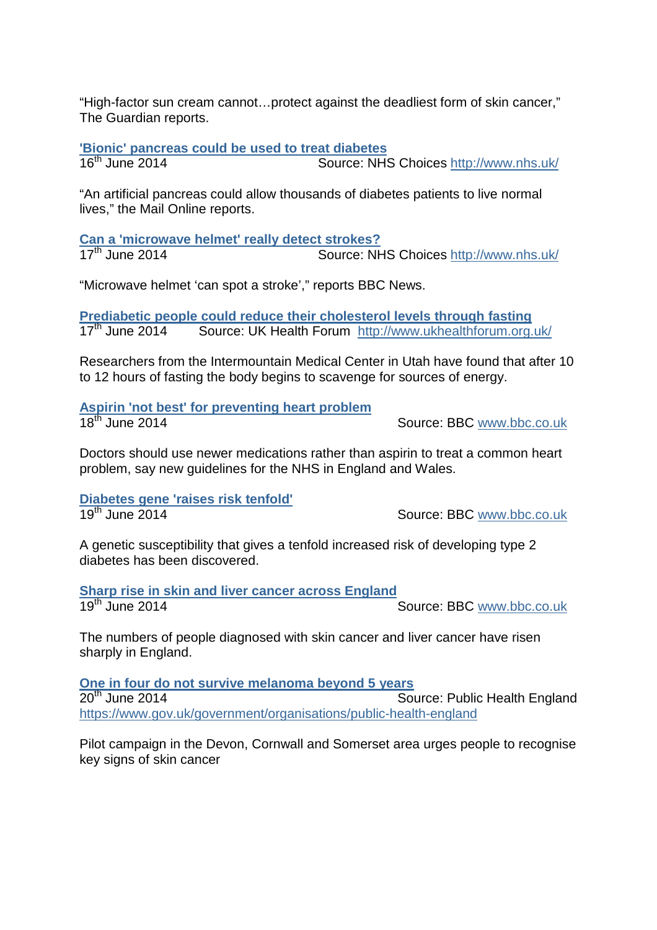"High-factor sun cream cannot…protect against the deadliest form of skin cancer," The Guardian reports.

**'Bionic' pancreas could be used to treat diabetes**

16<sup>th</sup> June 2014 Source: NHS Choices http://www.nhs.uk/

"An artificial pancreas could allow thousands of diabetes patients to live normal lives," the Mail Online reports.

**Can a 'microwave helmet' really detect strokes?** Source: NHS Choices http://www.nhs.uk/

"Microwave helmet 'can spot a stroke'," reports BBC News.

**Prediabetic people could reduce their cholesterol levels through fasting** 17<sup>th</sup> June 2014 Source: UK Health Forum http://www.ukhealthforum.org.uk/

Researchers from the Intermountain Medical Center in Utah have found that after 10 to 12 hours of fasting the body begins to scavenge for sources of energy.

**Aspirin 'not best' for preventing heart problem**

Source: BBC www.bbc.co.uk

Doctors should use newer medications rather than aspirin to treat a common heart problem, say new guidelines for the NHS in England and Wales.

**Diabetes gene 'raises risk tenfold'**

Source: BBC www.bbc.co.uk

A genetic susceptibility that gives a tenfold increased risk of developing type 2 diabetes has been discovered.

**Sharp rise in skin and liver cancer across England**<br>19<sup>th</sup> June 2014 Source: BBC www.bbc.co.uk

The numbers of people diagnosed with skin cancer and liver cancer have risen sharply in England.

**One in four do not survive melanoma beyond 5 years**<br>20<sup>th</sup> June 2014 **Source 2014** Source: Public Health England https://www.gov.uk/government/organisations/public-health-england

Pilot campaign in the Devon, Cornwall and Somerset area urges people to recognise key signs of skin cancer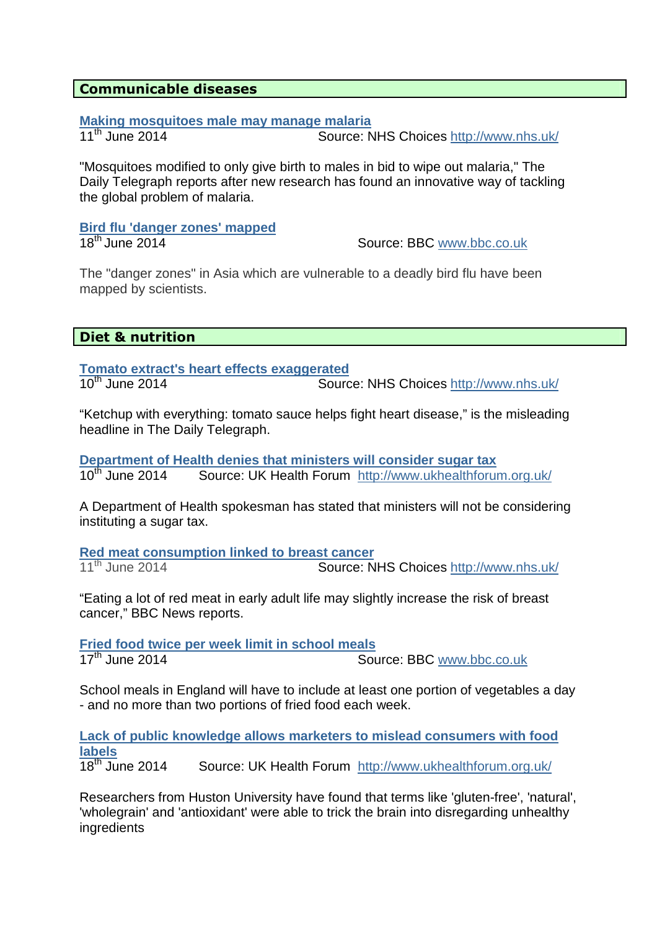#### **Communicable diseases**

#### **Making mosquitoes male may manage malaria**

11<sup>th</sup> June 2014 Source: NHS Choices http://www.nhs.uk/

"Mosquitoes modified to only give birth to males in bid to wipe out malaria," The Daily Telegraph reports after new research has found an innovative way of tackling the global problem of malaria.

# **Bird flu 'danger zones' mapped**

18<sup>th</sup> June 2014 **Source: BBC** www.bbc.co.uk

The "danger zones" in Asia which are vulnerable to a deadly bird flu have been mapped by scientists.

#### **Diet & nutrition**

**Tomato extract's heart effects exaggerated**<br>10<sup>th</sup> June 2014 Source: NHS Choices http://www.nhs.uk/

"Ketchup with everything: tomato sauce helps fight heart disease," is the misleading headline in The Daily Telegraph.

**Department of Health denies that ministers will consider sugar tax** 10<sup>th</sup> June 2014 Source: UK Health Forum http://www.ukhealthforum.org.uk/

A Department of Health spokesman has stated that ministers will not be considering instituting a sugar tax.

**Red meat consumption linked to breast cancer** 11<sup>th</sup> June 2014 **Source: NHS Choices http://www.nhs.uk/** 

"Eating a lot of red meat in early adult life may slightly increase the risk of breast cancer," BBC News reports.

**Fried food twice per week limit in school meals**<br>17<sup>th</sup> June 2014 **Source 2014** Source: BBC www.bbc.co.uk

School meals in England will have to include at least one portion of vegetables a day - and no more than two portions of fried food each week.

**Lack of public knowledge allows marketers to mislead consumers with food labels**

18<sup>th</sup> June 2014 Source: UK Health Forum http://www.ukhealthforum.org.uk/

Researchers from Huston University have found that terms like 'gluten-free', 'natural', 'wholegrain' and 'antioxidant' were able to trick the brain into disregarding unhealthy ingredients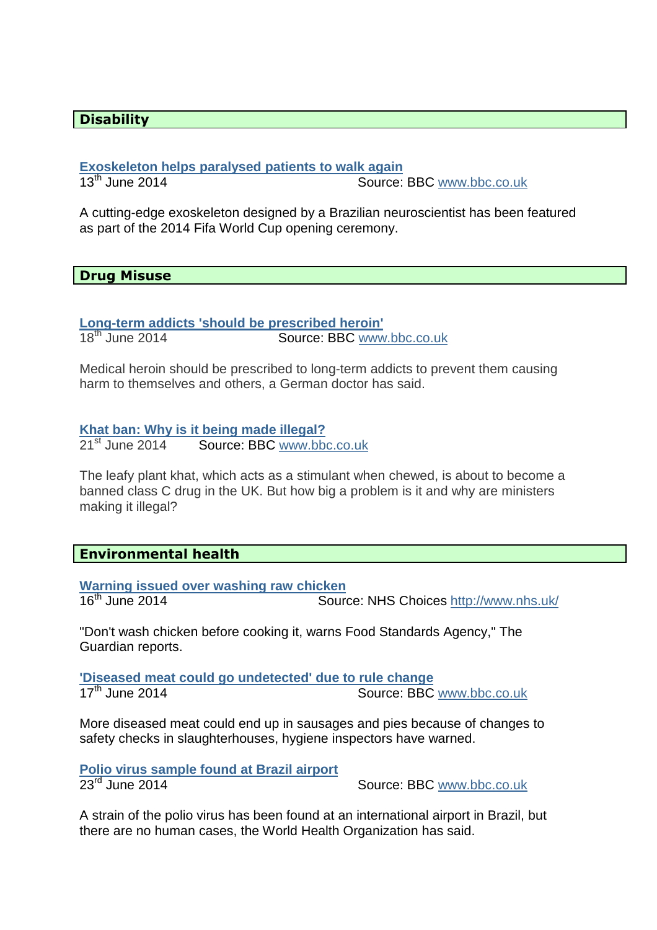#### **Disability**

# **Exoskeleton helps paralysed patients to walk again**

Source: BBC www.bbc.co.uk

A cutting-edge exoskeleton designed by a Brazilian neuroscientist has been featured as part of the 2014 Fifa World Cup opening ceremony.

#### **Drug Misuse**

**Long-term addicts 'should be prescribed heroin'**

Source: BBC www.bbc.co.uk

Medical heroin should be prescribed to long-term addicts to prevent them causing harm to themselves and others, a German doctor has said.

#### **Khat ban: Why is it being made illegal?**

21<sup>st</sup> June 2014 Source: BBC www.bbc.co.uk

The leafy plant khat, which acts as a stimulant when chewed, is about to become a banned class C drug in the UK. But how big a problem is it and why are ministers making it illegal?

#### **Environmental health**

**Warning issued over washing raw chicken**<br>16<sup>th</sup> June 2014 **Sour** Source: NHS Choices http://www.nhs.uk/

"Don't wash chicken before cooking it, warns Food Standards Agency," The Guardian reports.

**'Diseased meat could go undetected' due to rule change** 17<sup>th</sup> June 2014 Source: BBC www.bbc.co.uk

More diseased meat could end up in sausages and pies because of changes to safety checks in slaughterhouses, hygiene inspectors have warned.

**Polio virus sample found at Brazil airport**

Source: BBC www.bbc.co.uk

A strain of the polio virus has been found at an international airport in Brazil, but there are no human cases, the World Health Organization has said.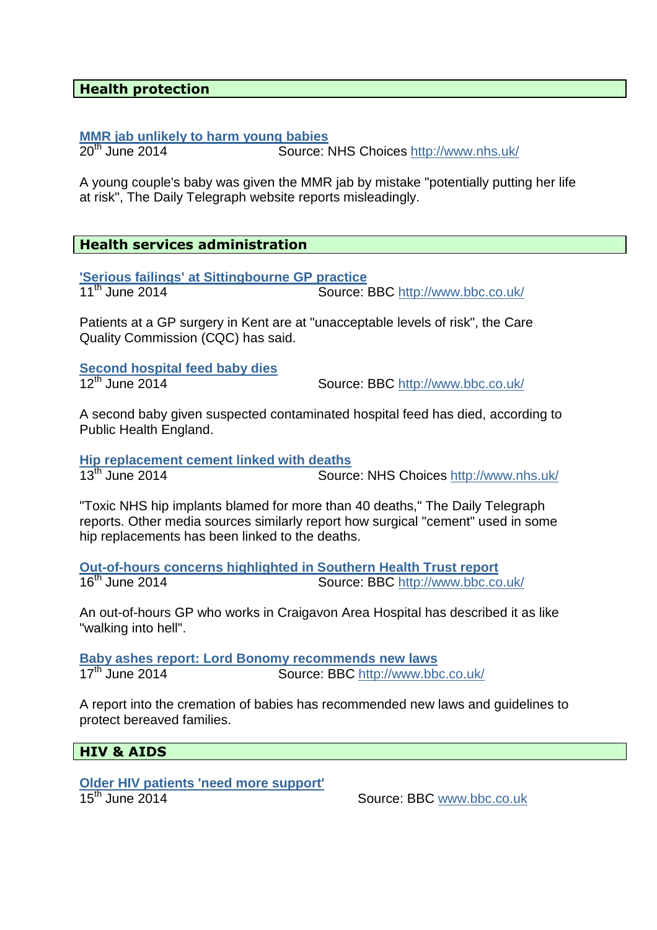#### **Health protection**

# **MMR jab unlikely to harm young babies**<br>20<sup>th</sup> June 2014 **Source:**

Source: NHS Choices http://www.nhs.uk/

A young couple's baby was given the MMR jab by mistake "potentially putting her life at risk", The Daily Telegraph website reports misleadingly.

#### **Health services administration**

**'Serious failings' at Sittingbourne GP practice** Source: BBC http://www.bbc.co.uk/

Patients at a GP surgery in Kent are at "unacceptable levels of risk", the Care Quality Commission (CQC) has said.

**Second hospital feed baby dies**<br>12<sup>th</sup> June 2014

Source: BBC http://www.bbc.co.uk/

A second baby given suspected contaminated hospital feed has died, according to Public Health England.

**Hip replacement cement linked with deaths**<br>13<sup>th</sup> June 2014

Source: NHS Choices http://www.nhs.uk/

"Toxic NHS hip implants blamed for more than 40 deaths," The Daily Telegraph reports. Other media sources similarly report how surgical "cement" used in some hip replacements has been linked to the deaths.

**Out-of-hours concerns highlighted in Southern Health Trust report** Source: BBC http://www.bbc.co.uk/

An out-of-hours GP who works in Craigavon Area Hospital has described it as like "walking into hell".

**Baby ashes report: Lord Bonomy recommends new laws** Source: BBC http://www.bbc.co.uk/

A report into the cremation of babies has recommended new laws and guidelines to protect bereaved families.

#### **HIV & AIDS**

# **Older HIV patients 'need more support'**

15<sup>th</sup> June 2014 Source: BBC www.bbc.co.uk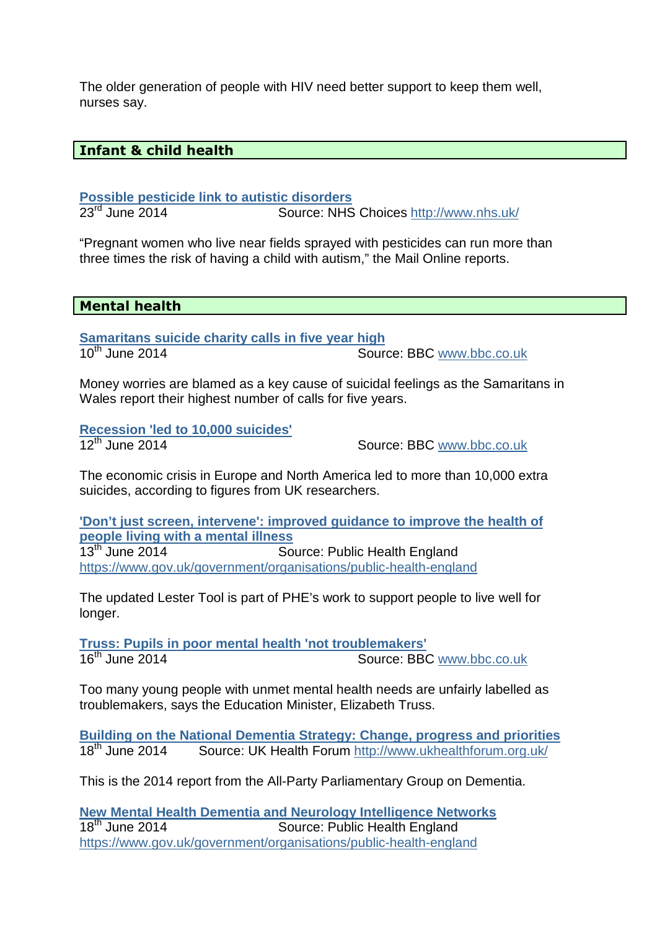The older generation of people with HIV need better support to keep them well, nurses say.

#### **Infant & child health**

**Possible pesticide link to autistic disorders**

23rd June 2014 Source: NHS Choices http://www.nhs.uk/

"Pregnant women who live near fields sprayed with pesticides can run more than three times the risk of having a child with autism," the Mail Online reports.

#### **Mental health**

**Samaritans suicide charity calls in five year high**<br>10<sup>th</sup> June 2014 Source: BBC www.bbc.co.uk

Money worries are blamed as a key cause of suicidal feelings as the Samaritans in Wales report their highest number of calls for five years.

**Recession 'led to 10,000 suicides'**

Source: BBC www.bbc.co.uk

The economic crisis in Europe and North America led to more than 10,000 extra suicides, according to figures from UK researchers.

**'Don't just screen, intervene': improved guidance to improve the health of people living with a mental illness**<br>13<sup>th</sup> June 2014 **Source** Source: Public Health England https://www.gov.uk/government/organisations/public-health-england

The updated Lester Tool is part of PHE's work to support people to live well for longer.

**Truss: Pupils in poor mental health 'not troublemakers'** 16<sup>th</sup> June 2014 Source: BBC www.bbc.co.uk

Too many young people with unmet mental health needs are unfairly labelled as troublemakers, says the Education Minister, Elizabeth Truss.

**Building on the National Dementia Strategy: Change, progress and priorities** 18<sup>th</sup> June 2014 Source: UK Health Forum http://www.ukhealthforum.org.uk/

This is the 2014 report from the All-Party Parliamentary Group on Dementia.

**New Mental Health Dementia and Neurology Intelligence Networks** Source: Public Health England https://www.gov.uk/government/organisations/public-health-england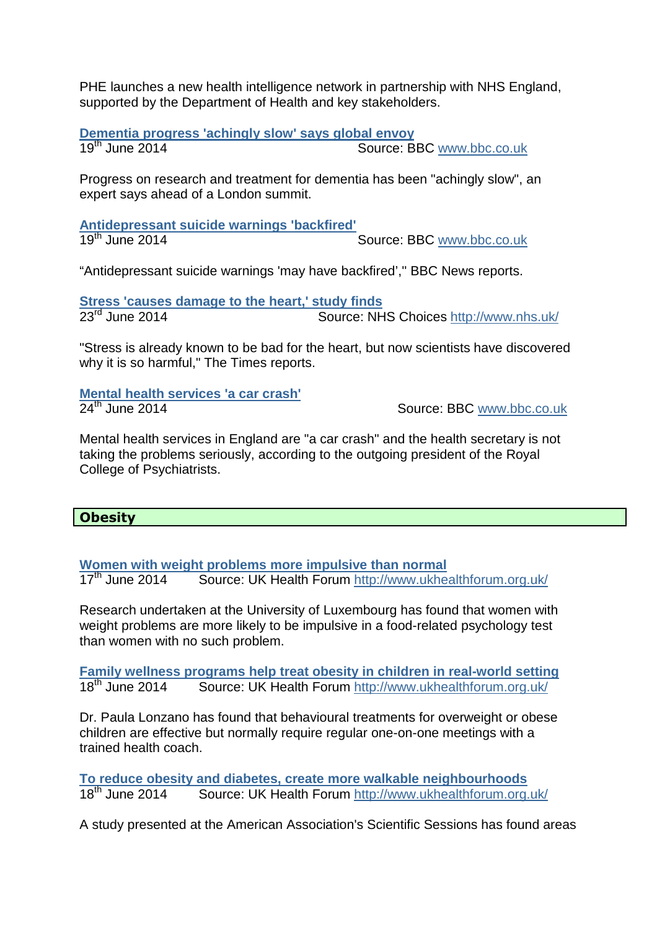PHE launches a new health intelligence network in partnership with NHS England, supported by the Department of Health and key stakeholders.

**Dementia progress 'achingly slow' says global envoy** Source: BBC www.bbc.co.uk

Progress on research and treatment for dementia has been "achingly slow", an expert says ahead of a London summit.

**Antidepressant suicide warnings 'backfired'** Source: BBC www.bbc.co.uk

"Antidepressant suicide warnings 'may have backfired','' BBC News reports.

**Stress 'causes damage to the heart,' study finds**<br> **P3<sup>rd</sup> June 2014 Source: NH** Source: NHS Choices http://www.nhs.uk/

"Stress is already known to be bad for the heart, but now scientists have discovered why it is so harmful," The Times reports.

**Mental health services 'a car crash'**

Source: BBC www.bbc.co.uk

Mental health services in England are "a car crash" and the health secretary is not taking the problems seriously, according to the outgoing president of the Royal College of Psychiatrists.

#### **Obesity**

**Women with weight problems more impulsive than normal**<br>17<sup>th</sup> June 2014 **Source: UK Health Forum** http://www.ukhe

Source: UK Health Forum http://www.ukhealthforum.org.uk/

Research undertaken at the University of Luxembourg has found that women with weight problems are more likely to be impulsive in a food-related psychology test than women with no such problem.

**Family wellness programs help treat obesity in children in real-world setting** 18<sup>th</sup> June 2014 Source: UK Health Forum http://www.ukhealthforum.org.uk/

Dr. Paula Lonzano has found that behavioural treatments for overweight or obese children are effective but normally require regular one-on-one meetings with a trained health coach.

**To reduce obesity and diabetes, create more walkable neighbourhoods**<br>18<sup>th</sup> June 2014 **Source: UK Health Forum** http://www.ukhealthforum.org Source: UK Health Forum http://www.ukhealthforum.org.uk/

A study presented at the American Association's Scientific Sessions has found areas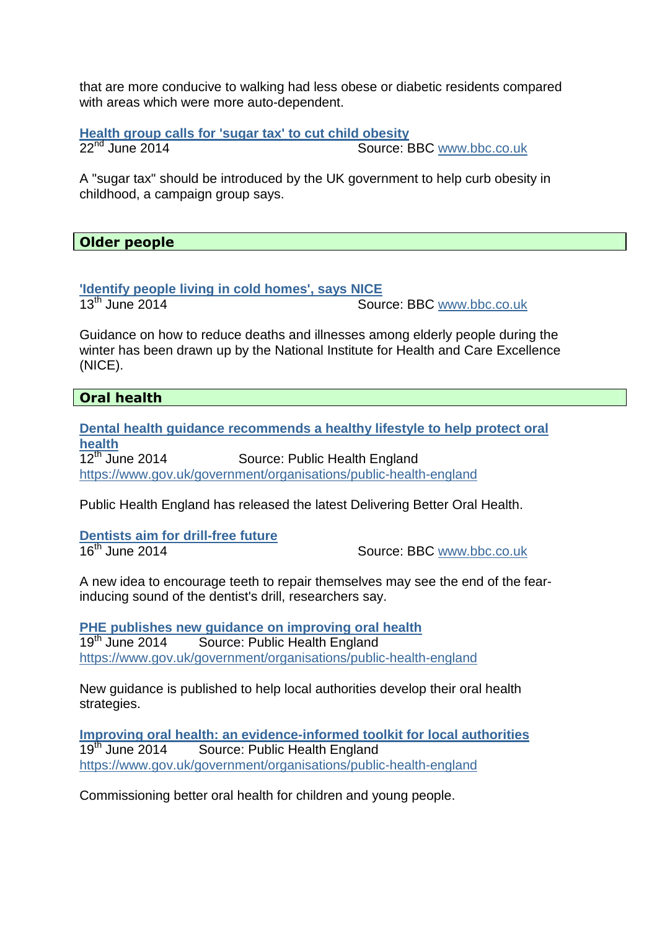that are more conducive to walking had less obese or diabetic residents compared with areas which were more auto-dependent.

**Health group calls for 'sugar tax' to cut child obesity**<br>22<sup>nd</sup> June 2014 **Source: B** 

Source: BBC www.bbc.co.uk

A "sugar tax" should be introduced by the UK government to help curb obesity in childhood, a campaign group says.

**Older people** 

**'Identify people living in cold homes', says NICE** Source: BBC www.bbc.co.uk

Guidance on how to reduce deaths and illnesses among elderly people during the winter has been drawn up by the National Institute for Health and Care Excellence (NICE).

## **Oral health**

**Dental health guidance recommends a healthy lifestyle to help protect oral health**<br>12<sup>th</sup> June 2014 Source: Public Health England https://www.gov.uk/government/organisations/public-health-england

Public Health England has released the latest Delivering Better Oral Health.

**Dentists aim for drill-free future**<br>16<sup>th</sup> June 2014

Source: BBC www.bbc.co.uk

A new idea to encourage teeth to repair themselves may see the end of the fearinducing sound of the dentist's drill, researchers say.

**PHE publishes new guidance on improving oral health** 19<sup>th</sup> June 2014 Source: Public Health England https://www.gov.uk/government/organisations/public-health-england

New guidance is published to help local authorities develop their oral health strategies.

**Improving oral health: an evidence-informed toolkit for local authorities** 19<sup>th</sup> June 2014 Source: Public Health England https://www.gov.uk/government/organisations/public-health-england

Commissioning better oral health for children and young people.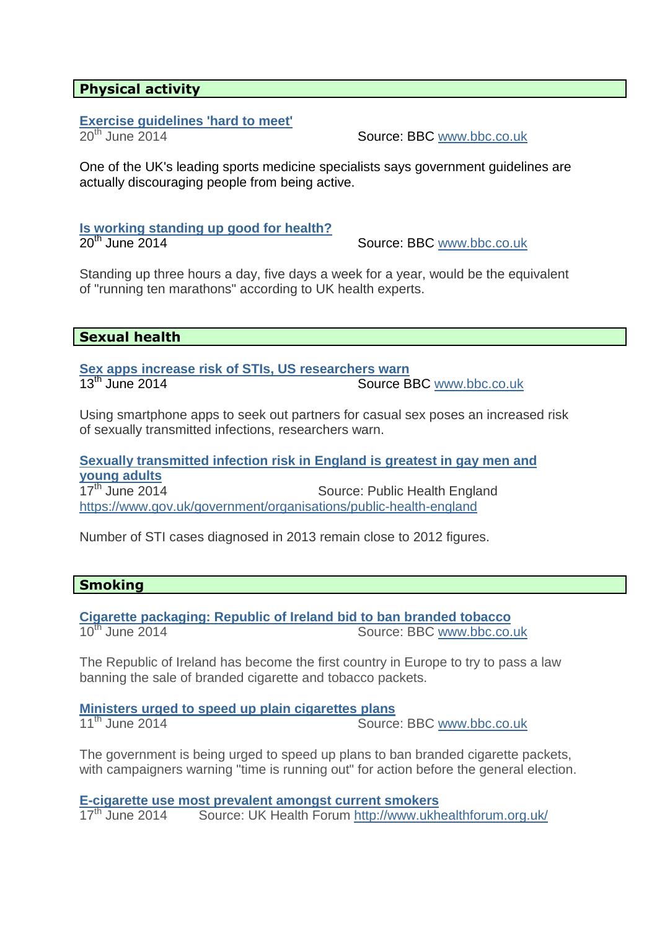### **Physical activity**

## **Exercise guidelines 'hard to meet'**

20th June 2014Source: BBC www.bbc.co.uk

One of the UK's leading sports medicine specialists says government guidelines are actually discouraging people from being active.

**Is working standing up good for health?** 20<sup>th</sup> June 2014 **Source: BBC** www.bbc.co.uk

Standing up three hours a day, five days a week for a year, would be the equivalent of "running ten marathons" according to UK health experts.

#### **Sexual health**

**Sex apps increase risk of STIs, US researchers warn** 13<sup>th</sup> June 2014 **Source BBC** www.bbc.co.uk

Using smartphone apps to seek out partners for casual sex poses an increased risk of sexually transmitted infections, researchers warn.

**Sexually transmitted infection risk in England is greatest in gay men and young adults** Source: Public Health England

https://www.gov.uk/government/organisations/public-health-england

Number of STI cases diagnosed in 2013 remain close to 2012 figures.

#### **Smoking**

**Cigarette packaging: Republic of Ireland bid to ban branded tobacco** 10<sup>th</sup> June 2014 Source: BBC www.bbc.co.uk

The Republic of Ireland has become the first country in Europe to try to pass a law banning the sale of branded cigarette and tobacco packets.

**Ministers urged to speed up plain cigarettes plans**<br>11<sup>th</sup> June 2014 Source: BBC www.bbc.co.uk

The government is being urged to speed up plans to ban branded cigarette packets, with campaigners warning "time is running out" for action before the general election.

**E-cigarette use most prevalent amongst current smokers**<br>17<sup>th</sup> June 2014 Source: UK Health Forum http://www.ukh Source: UK Health Forum http://www.ukhealthforum.org.uk/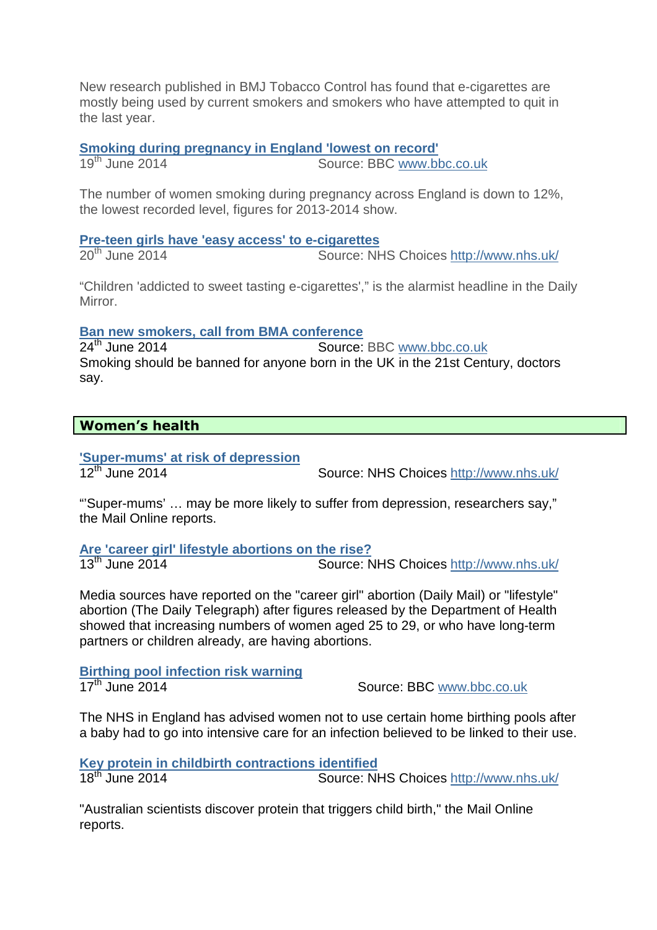New research published in BMJ Tobacco Control has found that e-cigarettes are mostly being used by current smokers and smokers who have attempted to quit in the last year.

**Smoking during pregnancy in England 'lowest on record'**<br>19<sup>th</sup> June 2014 **Source: BBC www.bt** 

Source: BBC www.bbc.co.uk

The number of women smoking during pregnancy across England is down to 12%, the lowest recorded level, figures for 2013-2014 show.

**Pre-teen girls have 'easy access' to e-cigarettes**

20<sup>th</sup> June 2014 **Source: NHS Choices http://www.nhs.uk/** 

"Children 'addicted to sweet tasting e-cigarettes'," is the alarmist headline in the Daily Mirror.

**Ban new smokers, call from BMA conference**<br> **P4<sup>th</sup> June 2014 Source:** 

Source: BBC www.bbc.co.uk Smoking should be banned for anyone born in the UK in the 21st Century, doctors say.

### **Women's health**

**'Super-mums' at risk of depression**

Source: NHS Choices http://www.nhs.uk/

"'Super-mums' … may be more likely to suffer from depression, researchers say," the Mail Online reports.

**Are 'career girl' lifestyle abortions on the rise?** Source: NHS Choices http://www.nhs.uk/

Media sources have reported on the "career girl" abortion (Daily Mail) or "lifestyle" abortion (The Daily Telegraph) after figures released by the Department of Health showed that increasing numbers of women aged 25 to 29, or who have long-term partners or children already, are having abortions.

**Birthing pool infection risk warning 17<sup>th</sup> June 2014 Source: BBC www.bbc.co.uk** 

The NHS in England has advised women not to use certain home birthing pools after a baby had to go into intensive care for an infection believed to be linked to their use.

**Key protein in childbirth contractions identified** 18<sup>th</sup> June 2014 **Source: NHS Choices http://www.nhs.uk/** 

"Australian scientists discover protein that triggers child birth," the Mail Online reports.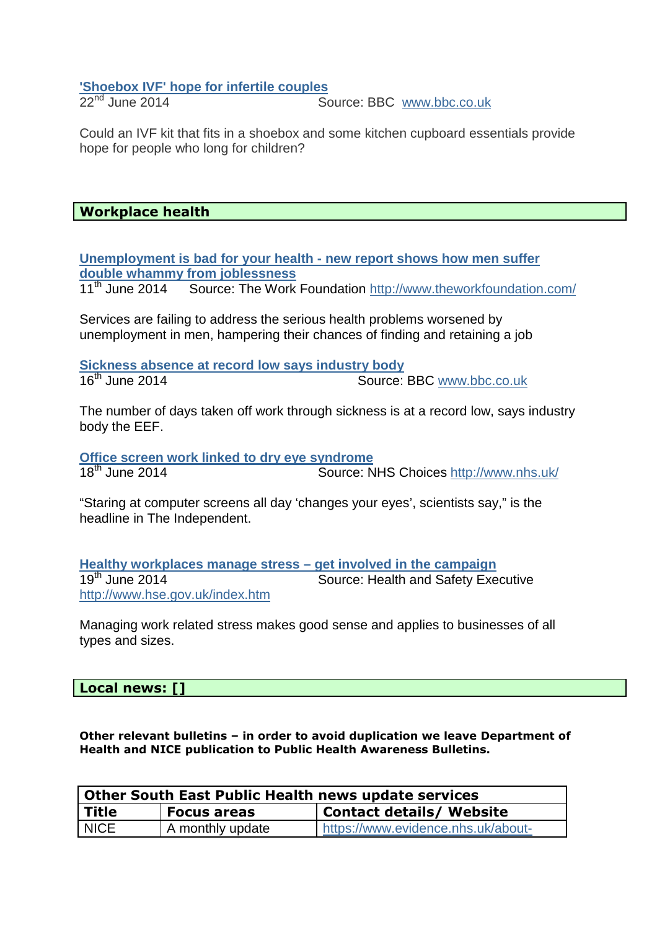# **'Shoebox IVF' hope for infertile couples**<br>22<sup>nd</sup> June 2014

Source: BBC www.bbc.co.uk

Could an IVF kit that fits in a shoebox and some kitchen cupboard essentials provide hope for people who long for children?

#### **Workplace health**

**Unemployment is bad for your health - new report shows how men suffer double whammy from joblessness**

Source: The Work Foundation http://www.theworkfoundation.com/

Services are failing to address the serious health problems worsened by unemployment in men, hampering their chances of finding and retaining a job

**Sickness absence at record low says industry body** 16<sup>th</sup> June 2014 **Source:** BBC www.bbc.co.uk

The number of days taken off work through sickness is at a record low, says industry body the EEF.

**Office screen work linked to dry eye syndrome**<br>18<sup>th</sup> June 2014 **Source: N** Source: NHS Choices http://www.nhs.uk/

"Staring at computer screens all day 'changes your eyes', scientists say," is the headline in The Independent.

**Healthy workplaces manage stress – get involved in the campaign** Source: Health and Safety Executive http://www.hse.gov.uk/index.htm

Managing work related stress makes good sense and applies to businesses of all types and sizes.

#### **Local news: []**

**Other relevant bulletins – in order to avoid duplication we leave Department of Health and NICE publication to Public Health Awareness Bulletins.** 

| Other South East Public Health news update services |                  |                                    |  |
|-----------------------------------------------------|------------------|------------------------------------|--|
| <b>Title</b>                                        | Focus areas      | <b>Contact details/ Website</b>    |  |
| <b>NICE</b>                                         | A monthly update | https://www.evidence.nhs.uk/about- |  |